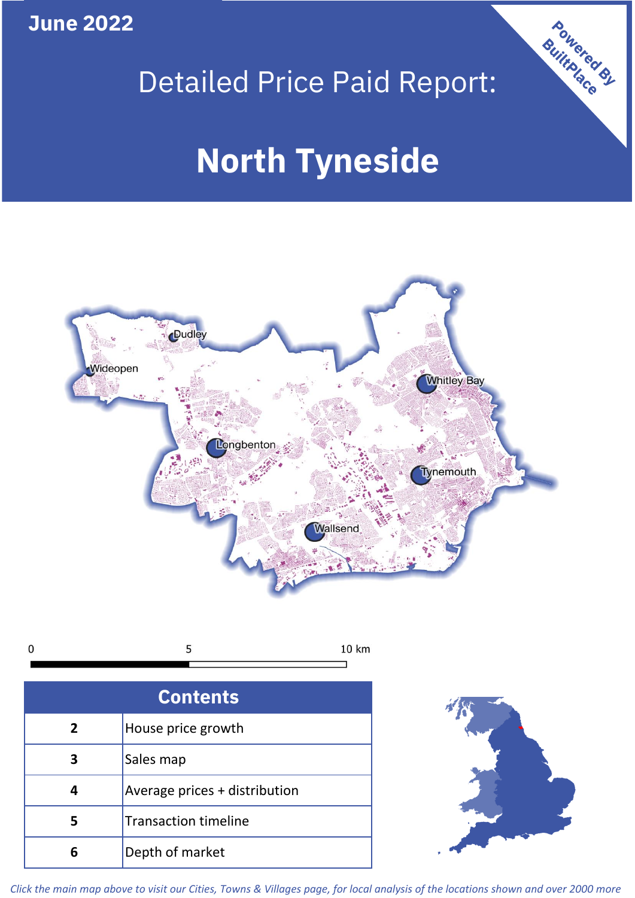**June 2022**





| r<br>J |  |
|--------|--|
|        |  |

| <b>Contents</b> |                               |  |  |
|-----------------|-------------------------------|--|--|
| $\overline{2}$  | House price growth            |  |  |
| 3               | Sales map                     |  |  |
|                 | Average prices + distribution |  |  |
|                 | <b>Transaction timeline</b>   |  |  |
|                 | Depth of market               |  |  |



*Click the main map above to visit our Cities, Towns & Villages page, for local analysis of the locations shown and over 2000 more*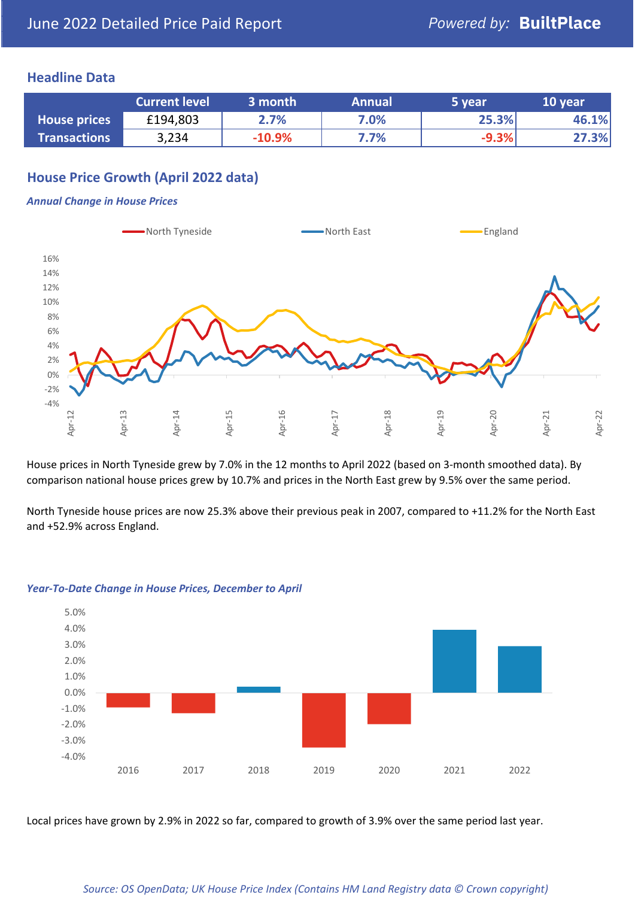## **Headline Data**

|                     | <b>Current level</b> | 3 month  | <b>Annual</b> | 5 year  | 10 year |
|---------------------|----------------------|----------|---------------|---------|---------|
| <b>House prices</b> | £194,803             | 2.7%     | 7.0%          | 25.3%   | 46.1%   |
| <b>Transactions</b> | 3,234                | $-10.9%$ | 7.7%          | $-9.3%$ | 27.3%   |

# **House Price Growth (April 2022 data)**

#### *Annual Change in House Prices*



House prices in North Tyneside grew by 7.0% in the 12 months to April 2022 (based on 3-month smoothed data). By comparison national house prices grew by 10.7% and prices in the North East grew by 9.5% over the same period.

North Tyneside house prices are now 25.3% above their previous peak in 2007, compared to +11.2% for the North East and +52.9% across England.



#### *Year-To-Date Change in House Prices, December to April*

Local prices have grown by 2.9% in 2022 so far, compared to growth of 3.9% over the same period last year.

#### *Source: OS OpenData; UK House Price Index (Contains HM Land Registry data © Crown copyright)*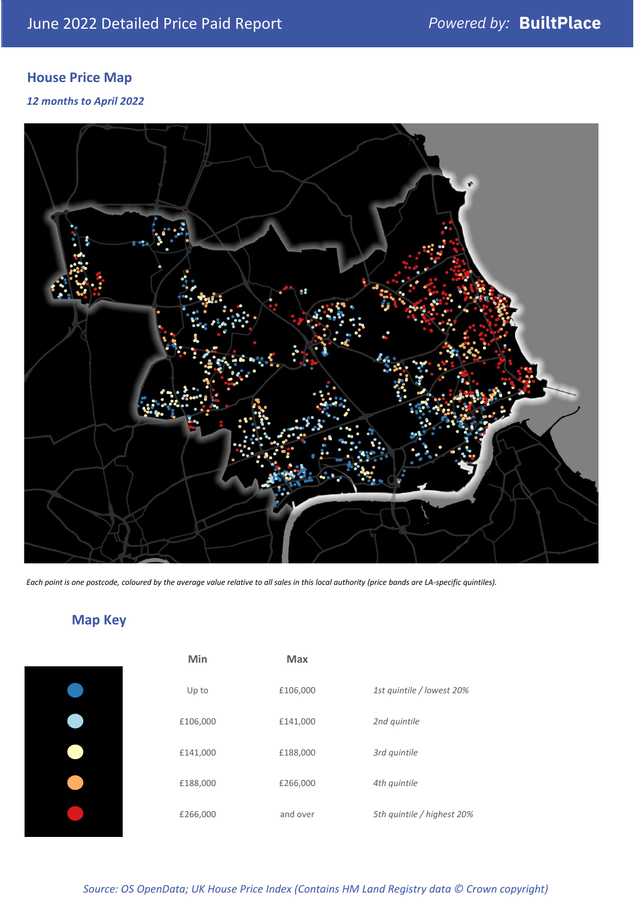# **House Price Map**

## *12 months to April 2022*



*Each point is one postcode, coloured by the average value relative to all sales in this local authority (price bands are LA-specific quintiles).*

# **Map Key**

| Min      | <b>Max</b> |                            |
|----------|------------|----------------------------|
| Up to    | £106,000   | 1st quintile / lowest 20%  |
| £106,000 | £141,000   | 2nd quintile               |
| £141,000 | £188,000   | 3rd quintile               |
| £188,000 | £266,000   | 4th quintile               |
| £266,000 | and over   | 5th quintile / highest 20% |
|          |            |                            |

*Source: OS OpenData; UK House Price Index (Contains HM Land Registry data © Crown copyright)*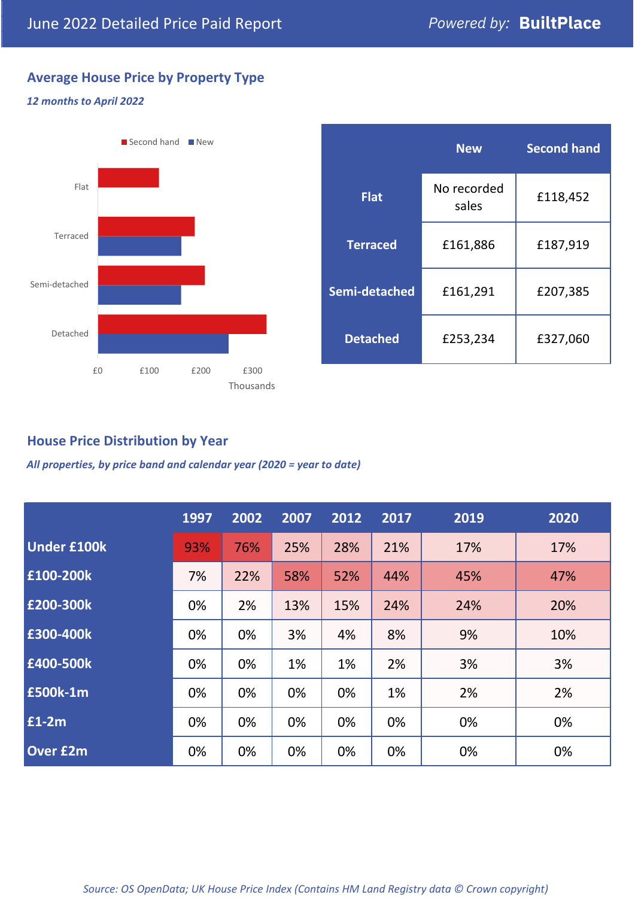# **Average House Price by Property Type**

## *12 months to April 2022*



|                 | <b>New</b>           | <b>Second hand</b> |  |  |
|-----------------|----------------------|--------------------|--|--|
| <b>Flat</b>     | No recorded<br>sales | £118,452           |  |  |
| <b>Terraced</b> | £161,886             | £187,919           |  |  |
| Semi-detached   | £161,291             | £207,385           |  |  |
| <b>Detached</b> | £253,234             | £327,060           |  |  |

## **House Price Distribution by Year**

*All properties, by price band and calendar year (2020 = year to date)*

|                    | 1997 | 2002 | 2007 | 2012 | 2017 | 2019 | 2020 |
|--------------------|------|------|------|------|------|------|------|
| <b>Under £100k</b> | 93%  | 76%  | 25%  | 28%  | 21%  | 17%  | 17%  |
| £100-200k          | 7%   | 22%  | 58%  | 52%  | 44%  | 45%  | 47%  |
| E200-300k          | 0%   | 2%   | 13%  | 15%  | 24%  | 24%  | 20%  |
| £300-400k          | 0%   | 0%   | 3%   | 4%   | 8%   | 9%   | 10%  |
| £400-500k          | 0%   | 0%   | 1%   | 1%   | 2%   | 3%   | 3%   |
| <b>£500k-1m</b>    | 0%   | 0%   | 0%   | 0%   | 1%   | 2%   | 2%   |
| £1-2m              | 0%   | 0%   | 0%   | 0%   | 0%   | 0%   | 0%   |
| <b>Over £2m</b>    | 0%   | 0%   | 0%   | 0%   | 0%   | 0%   | 0%   |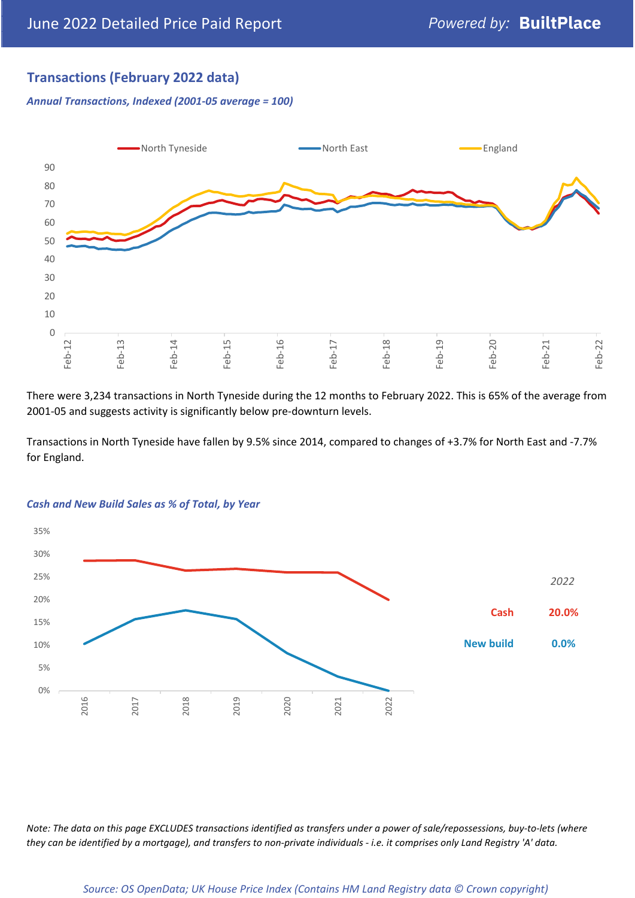# **Transactions (February 2022 data)**

*Annual Transactions, Indexed (2001-05 average = 100)*



There were 3,234 transactions in North Tyneside during the 12 months to February 2022. This is 65% of the average from 2001-05 and suggests activity is significantly below pre-downturn levels.

Transactions in North Tyneside have fallen by 9.5% since 2014, compared to changes of +3.7% for North East and -7.7% for England.



#### *Cash and New Build Sales as % of Total, by Year*

*Note: The data on this page EXCLUDES transactions identified as transfers under a power of sale/repossessions, buy-to-lets (where they can be identified by a mortgage), and transfers to non-private individuals - i.e. it comprises only Land Registry 'A' data.*